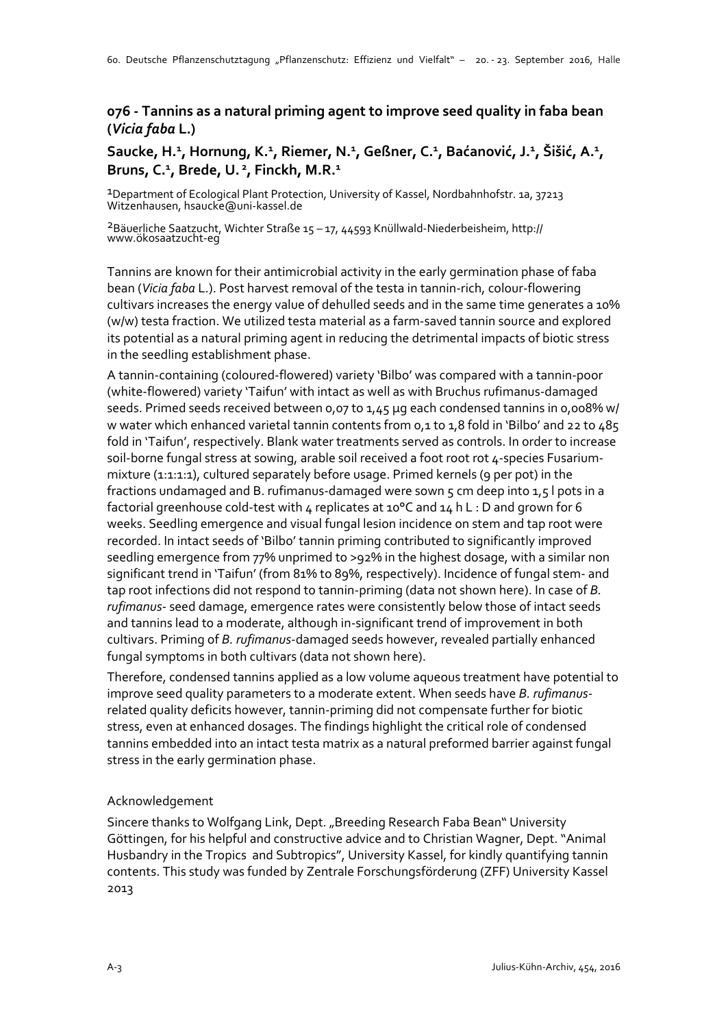## **076 - Tannins as a natural priming agent to improve seed quality in faba bean (***Vicia faba* **L.)**

## **Saucke, H.<sup>1</sup> , Hornung, K.<sup>1</sup> , Riemer, N.<sup>1</sup> , Geßner, C.<sup>1</sup> , Baćanović, J.<sup>1</sup> , Šišić, A.<sup>1</sup> , Bruns, C. 1 , Brede, U.<sup>2</sup>, Finckh, M.R.<sup>1</sup>**

1Department of Ecological Plant Protection, University of Kassel, Nordbahnhofstr. 1a, 37213 Witzenhausen, hsaucke@uni-kassel.de

2Bäuerliche Saatzucht, Wichter Straße 15 – 17, 44593 Knüllwald-Niederbeisheim, http:// www.ökosaatzucht-eg

Tannins are known for their antimicrobial activity in the early germination phase of faba bean (*Vicia faba* L.). Post harvest removal of the testa in tannin-rich, colour-flowering cultivars increases the energy value of dehulled seeds and in the same time generates a 10% (w/w) testa fraction. We utilized testa material as a farm-saved tannin source and explored its potential as a natural priming agent in reducing the detrimental impacts of biotic stress in the seedling establishment phase.

A tannin-containing (coloured-flowered) variety 'Bilbo' was compared with a tannin-poor (white-flowered) variety 'Taifun' with intact as well as with Bruchus rufimanus-damaged seeds. Primed seeds received between 0,07 to 1,45 µg each condensed tannins in 0,008% w/ w water which enhanced varietal tannin contents from 0,1 to 1,8 fold in 'Bilbo' and 22 to 485 fold in 'Taifun', respectively. Blank water treatments served as controls. In order to increase soil-borne fungal stress at sowing, arable soil received a foot root rot 4-species Fusariummixture (1:1:1:1), cultured separately before usage. Primed kernels (9 per pot) in the fractions undamaged and B. rufimanus-damaged were sown 5 cm deep into 1,5 l pots in a factorial greenhouse cold-test with 4 replicates at 10°C and 14 h L : D and grown for 6 weeks. Seedling emergence and visual fungal lesion incidence on stem and tap root were recorded. In intact seeds of 'Bilbo' tannin priming contributed to significantly improved seedling emergence from 77% unprimed to >92% in the highest dosage, with a similar non significant trend in 'Taifun' (from 81% to 89%, respectively). Incidence of fungal stem- and tap root infections did not respond to tannin-priming (data not shown here). In case of *B. rufimanus*- seed damage, emergence rates were consistently below those of intact seeds and tannins lead to a moderate, although in-significant trend of improvement in both cultivars. Priming of *B. rufimanus*-damaged seeds however, revealed partially enhanced fungal symptoms in both cultivars (data not shown here).

Therefore, condensed tannins applied as a low volume aqueous treatment have potential to improve seed quality parameters to a moderate extent. When seeds have *B. rufimanus*related quality deficits however, tannin-priming did not compensate further for biotic stress, even at enhanced dosages. The findings highlight the critical role of condensed tannins embedded into an intact testa matrix as a natural preformed barrier against fungal stress in the early germination phase.

## Acknowledgement

Sincere thanks to Wolfgang Link, Dept. "Breeding Research Faba Bean" University Göttingen, for his helpful and constructive advice and to Christian Wagner, Dept. "Animal Husbandry in the Tropics and Subtropics", University Kassel, for kindly quantifying tannin contents. This study was funded by Zentrale Forschungsförderung (ZFF) University Kassel 2013